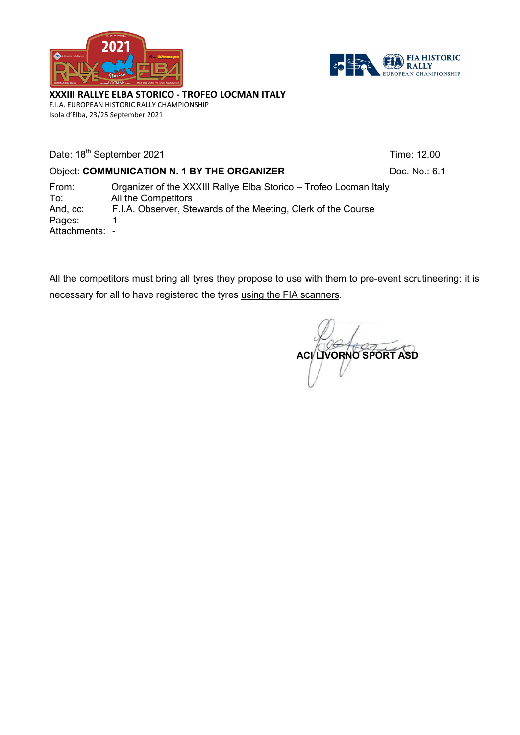



XXXIII RALLYE ELBA STORICO - TROFEO LOCMAN ITALY F.I.A. EUROPEAN HISTORIC RALLY CHAMPIONSHIP

Isola d'Elba, 23/25 September 2021

| Date: 18 <sup>th</sup> September 2021                |                                                                                                                                                           | Time: 12.00   |
|------------------------------------------------------|-----------------------------------------------------------------------------------------------------------------------------------------------------------|---------------|
|                                                      | <b>Object: COMMUNICATION N. 1 BY THE ORGANIZER</b>                                                                                                        | Doc. No.: 6.1 |
| From:<br>To:<br>And, cc:<br>Pages:<br>Attachments: - | Organizer of the XXXIII Rallye Elba Storico - Trofeo Locman Italy<br>All the Competitors<br>F.I.A. Observer, Stewards of the Meeting, Clerk of the Course |               |

All the competitors must bring all tyres they propose to use with them to pre-event scrutineering: it is necessary for all to have registered the tyres using the FIA scanners.

ACI LIVORNO SPORT ASD